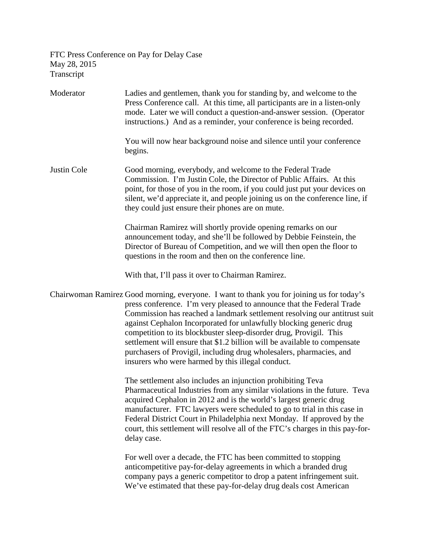FTC Press Conference on Pay for Delay Case May 28, 2015 Transcript

| Moderator   | Ladies and gentlemen, thank you for standing by, and welcome to the<br>Press Conference call. At this time, all participants are in a listen-only<br>mode. Later we will conduct a question-and-answer session. (Operator<br>instructions.) And as a reminder, your conference is being recorded.                                                                                                                                                                                                                                                                                                    |
|-------------|------------------------------------------------------------------------------------------------------------------------------------------------------------------------------------------------------------------------------------------------------------------------------------------------------------------------------------------------------------------------------------------------------------------------------------------------------------------------------------------------------------------------------------------------------------------------------------------------------|
|             | You will now hear background noise and silence until your conference<br>begins.                                                                                                                                                                                                                                                                                                                                                                                                                                                                                                                      |
| Justin Cole | Good morning, everybody, and welcome to the Federal Trade<br>Commission. I'm Justin Cole, the Director of Public Affairs. At this<br>point, for those of you in the room, if you could just put your devices on<br>silent, we'd appreciate it, and people joining us on the conference line, if<br>they could just ensure their phones are on mute.                                                                                                                                                                                                                                                  |
|             | Chairman Ramirez will shortly provide opening remarks on our<br>announcement today, and she'll be followed by Debbie Feinstein, the<br>Director of Bureau of Competition, and we will then open the floor to<br>questions in the room and then on the conference line.                                                                                                                                                                                                                                                                                                                               |
|             | With that, I'll pass it over to Chairman Ramirez.                                                                                                                                                                                                                                                                                                                                                                                                                                                                                                                                                    |
|             | Chairwoman Ramirez Good morning, everyone. I want to thank you for joining us for today's<br>press conference. I'm very pleased to announce that the Federal Trade<br>Commission has reached a landmark settlement resolving our antitrust suit<br>against Cephalon Incorporated for unlawfully blocking generic drug<br>competition to its blockbuster sleep-disorder drug, Provigil. This<br>settlement will ensure that \$1.2 billion will be available to compensate<br>purchasers of Provigil, including drug wholesalers, pharmacies, and<br>insurers who were harmed by this illegal conduct. |
|             | The settlement also includes an injunction prohibiting Teva<br>Pharmaceutical Industries from any similar violations in the future. Teva<br>acquired Cephalon in 2012 and is the world's largest generic drug<br>manufacturer. FTC lawyers were scheduled to go to trial in this case in<br>Federal District Court in Philadelphia next Monday. If approved by the<br>court, this settlement will resolve all of the FTC's charges in this pay-for-<br>delay case.                                                                                                                                   |
|             | For well over a decade, the FTC has been committed to stopping<br>anticompetitive pay-for-delay agreements in which a branded drug<br>company pays a generic competitor to drop a patent infringement suit.<br>We've estimated that these pay-for-delay drug deals cost American                                                                                                                                                                                                                                                                                                                     |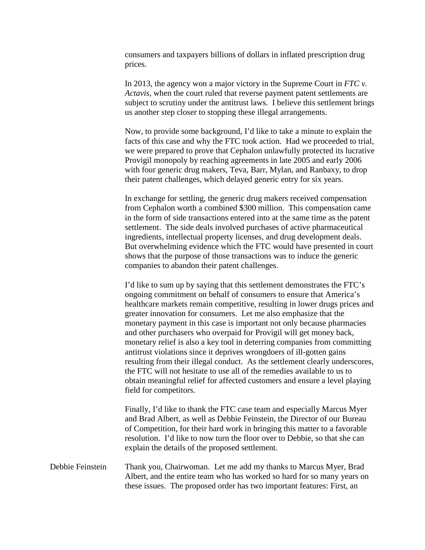consumers and taxpayers billions of dollars in inflated prescription drug prices.

In 2013, the agency won a major victory in the Supreme Court in *FTC v. Actavis*, when the court ruled that reverse payment patent settlements are subject to scrutiny under the antitrust laws. I believe this settlement brings us another step closer to stopping these illegal arrangements.

Now, to provide some background, I'd like to take a minute to explain the facts of this case and why the FTC took action. Had we proceeded to trial, we were prepared to prove that Cephalon unlawfully protected its lucrative Provigil monopoly by reaching agreements in late 2005 and early 2006 with four generic drug makers, Teva, Barr, Mylan, and Ranbaxy, to drop their patent challenges, which delayed generic entry for six years.

In exchange for settling, the generic drug makers received compensation from Cephalon worth a combined \$300 million. This compensation came in the form of side transactions entered into at the same time as the patent settlement. The side deals involved purchases of active pharmaceutical ingredients, intellectual property licenses, and drug development deals. But overwhelming evidence which the FTC would have presented in court shows that the purpose of those transactions was to induce the generic companies to abandon their patent challenges.

I'd like to sum up by saying that this settlement demonstrates the FTC's ongoing commitment on behalf of consumers to ensure that America's healthcare markets remain competitive, resulting in lower drugs prices and greater innovation for consumers. Let me also emphasize that the monetary payment in this case is important not only because pharmacies and other purchasers who overpaid for Provigil will get money back, monetary relief is also a key tool in deterring companies from committing antitrust violations since it deprives wrongdoers of ill-gotten gains resulting from their illegal conduct. As the settlement clearly underscores, the FTC will not hesitate to use all of the remedies available to us to obtain meaningful relief for affected customers and ensure a level playing field for competitors.

Finally, I'd like to thank the FTC case team and especially Marcus Myer and Brad Albert, as well as Debbie Feinstein, the Director of our Bureau of Competition, for their hard work in bringing this matter to a favorable resolution. I'd like to now turn the floor over to Debbie, so that she can explain the details of the proposed settlement.

Debbie Feinstein Thank you, Chairwoman. Let me add my thanks to Marcus Myer, Brad Albert, and the entire team who has worked so hard for so many years on these issues. The proposed order has two important features: First, an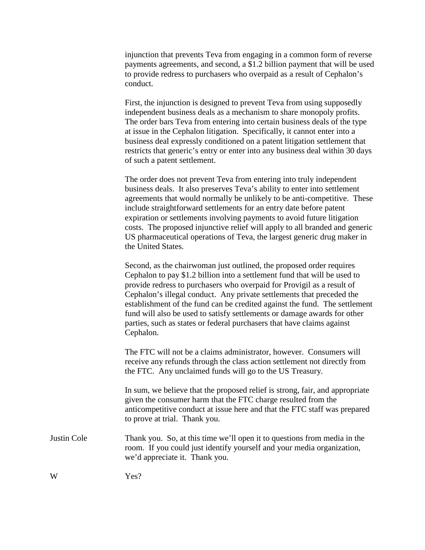injunction that prevents Teva from engaging in a common form of reverse payments agreements, and second, a \$1.2 billion payment that will be used to provide redress to purchasers who overpaid as a result of Cephalon's conduct.

First, the injunction is designed to prevent Teva from using supposedly independent business deals as a mechanism to share monopoly profits. The order bars Teva from entering into certain business deals of the type at issue in the Cephalon litigation. Specifically, it cannot enter into a business deal expressly conditioned on a patent litigation settlement that restricts that generic's entry or enter into any business deal within 30 days of such a patent settlement.

The order does not prevent Teva from entering into truly independent business deals. It also preserves Teva's ability to enter into settlement agreements that would normally be unlikely to be anti-competitive. These include straightforward settlements for an entry date before patent expiration or settlements involving payments to avoid future litigation costs. The proposed injunctive relief will apply to all branded and generic US pharmaceutical operations of Teva, the largest generic drug maker in the United States.

Second, as the chairwoman just outlined, the proposed order requires Cephalon to pay \$1.2 billion into a settlement fund that will be used to provide redress to purchasers who overpaid for Provigil as a result of Cephalon's illegal conduct. Any private settlements that preceded the establishment of the fund can be credited against the fund. The settlement fund will also be used to satisfy settlements or damage awards for other parties, such as states or federal purchasers that have claims against Cephalon.

The FTC will not be a claims administrator, however. Consumers will receive any refunds through the class action settlement not directly from the FTC. Any unclaimed funds will go to the US Treasury.

In sum, we believe that the proposed relief is strong, fair, and appropriate given the consumer harm that the FTC charge resulted from the anticompetitive conduct at issue here and that the FTC staff was prepared to prove at trial. Thank you.

Justin Cole Thank you. So, at this time we'll open it to questions from media in the room. If you could just identify yourself and your media organization, we'd appreciate it. Thank you.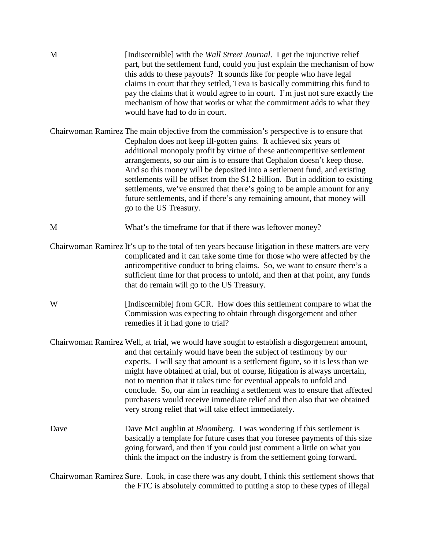| M    | [Indiscernible] with the <i>Wall Street Journal</i> . I get the injunctive relief<br>part, but the settlement fund, could you just explain the mechanism of how<br>this adds to these payouts? It sounds like for people who have legal<br>claims in court that they settled, Teva is basically committing this fund to<br>pay the claims that it would agree to in court. I'm just not sure exactly the<br>mechanism of how that works or what the commitment adds to what they<br>would have had to do in court.                                                                                                                                                    |
|------|-----------------------------------------------------------------------------------------------------------------------------------------------------------------------------------------------------------------------------------------------------------------------------------------------------------------------------------------------------------------------------------------------------------------------------------------------------------------------------------------------------------------------------------------------------------------------------------------------------------------------------------------------------------------------|
|      | Chairwoman Ramirez The main objective from the commission's perspective is to ensure that<br>Cephalon does not keep ill-gotten gains. It achieved six years of<br>additional monopoly profit by virtue of these anticompetitive settlement<br>arrangements, so our aim is to ensure that Cephalon doesn't keep those.<br>And so this money will be deposited into a settlement fund, and existing<br>settlements will be offset from the \$1.2 billion. But in addition to existing<br>settlements, we've ensured that there's going to be ample amount for any<br>future settlements, and if there's any remaining amount, that money will<br>go to the US Treasury. |
| M    | What's the timeframe for that if there was leftover money?                                                                                                                                                                                                                                                                                                                                                                                                                                                                                                                                                                                                            |
|      | Chairwoman Ramirez It's up to the total of ten years because litigation in these matters are very<br>complicated and it can take some time for those who were affected by the<br>anticompetitive conduct to bring claims. So, we want to ensure there's a<br>sufficient time for that process to unfold, and then at that point, any funds<br>that do remain will go to the US Treasury.                                                                                                                                                                                                                                                                              |
| W    | [Indiscernible] from GCR. How does this settlement compare to what the<br>Commission was expecting to obtain through disgorgement and other<br>remedies if it had gone to trial?                                                                                                                                                                                                                                                                                                                                                                                                                                                                                      |
|      | Chairwoman Ramirez Well, at trial, we would have sought to establish a disgorgement amount,<br>and that certainly would have been the subject of testimony by our<br>experts. I will say that amount is a settlement figure, so it is less than we<br>might have obtained at trial, but of course, litigation is always uncertain,<br>not to mention that it takes time for eventual appeals to unfold and<br>conclude. So, our aim in reaching a settlement was to ensure that affected<br>purchasers would receive immediate relief and then also that we obtained<br>very strong relief that will take effect immediately.                                         |
| Dave | Dave McLaughlin at <i>Bloomberg</i> . I was wondering if this settlement is<br>basically a template for future cases that you foresee payments of this size<br>going forward, and then if you could just comment a little on what you<br>think the impact on the industry is from the settlement going forward.                                                                                                                                                                                                                                                                                                                                                       |
|      | Chairwoman Ramirez Sure. Look, in case there was any doubt, I think this settlement shows that<br>the FTC is absolutely committed to putting a stop to these types of illegal                                                                                                                                                                                                                                                                                                                                                                                                                                                                                         |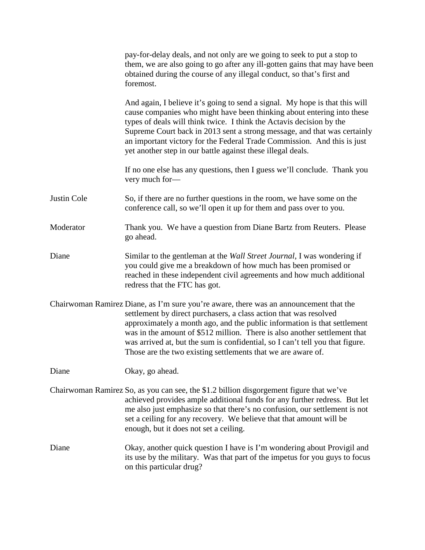|             | pay-for-delay deals, and not only are we going to seek to put a stop to<br>them, we are also going to go after any ill-gotten gains that may have been<br>obtained during the course of any illegal conduct, so that's first and<br>foremost.                                                                                                                                                                                                                         |
|-------------|-----------------------------------------------------------------------------------------------------------------------------------------------------------------------------------------------------------------------------------------------------------------------------------------------------------------------------------------------------------------------------------------------------------------------------------------------------------------------|
|             | And again, I believe it's going to send a signal. My hope is that this will<br>cause companies who might have been thinking about entering into these<br>types of deals will think twice. I think the Actavis decision by the<br>Supreme Court back in 2013 sent a strong message, and that was certainly<br>an important victory for the Federal Trade Commission. And this is just<br>yet another step in our battle against these illegal deals.                   |
|             | If no one else has any questions, then I guess we'll conclude. Thank you<br>very much for-                                                                                                                                                                                                                                                                                                                                                                            |
| Justin Cole | So, if there are no further questions in the room, we have some on the<br>conference call, so we'll open it up for them and pass over to you.                                                                                                                                                                                                                                                                                                                         |
| Moderator   | Thank you. We have a question from Diane Bartz from Reuters. Please<br>go ahead.                                                                                                                                                                                                                                                                                                                                                                                      |
| Diane       | Similar to the gentleman at the <i>Wall Street Journal</i> , I was wondering if<br>you could give me a breakdown of how much has been promised or<br>reached in these independent civil agreements and how much additional<br>redress that the FTC has got.                                                                                                                                                                                                           |
|             | Chairwoman Ramirez Diane, as I'm sure you're aware, there was an announcement that the<br>settlement by direct purchasers, a class action that was resolved<br>approximately a month ago, and the public information is that settlement<br>was in the amount of \$512 million. There is also another settlement that<br>was arrived at, but the sum is confidential, so I can't tell you that figure.<br>Those are the two existing settlements that we are aware of. |
| Diane       | Okay, go ahead.                                                                                                                                                                                                                                                                                                                                                                                                                                                       |
|             | Chairwoman Ramirez So, as you can see, the \$1.2 billion disgorgement figure that we've<br>achieved provides ample additional funds for any further redress. But let<br>me also just emphasize so that there's no confusion, our settlement is not<br>set a ceiling for any recovery. We believe that that amount will be<br>enough, but it does not set a ceiling.                                                                                                   |
| Diane       | Okay, another quick question I have is I'm wondering about Provigil and<br>its use by the military. Was that part of the impetus for you guys to focus<br>on this particular drug?                                                                                                                                                                                                                                                                                    |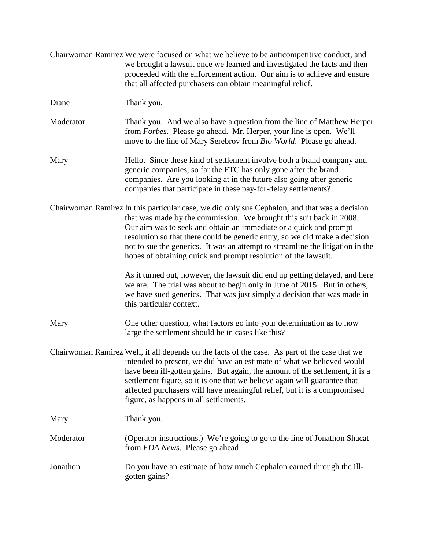|           | Chairwoman Ramirez We were focused on what we believe to be anticompetitive conduct, and<br>we brought a lawsuit once we learned and investigated the facts and then<br>proceeded with the enforcement action. Our aim is to achieve and ensure<br>that all affected purchasers can obtain meaningful relief.                                                                                                                                                               |
|-----------|-----------------------------------------------------------------------------------------------------------------------------------------------------------------------------------------------------------------------------------------------------------------------------------------------------------------------------------------------------------------------------------------------------------------------------------------------------------------------------|
| Diane     | Thank you.                                                                                                                                                                                                                                                                                                                                                                                                                                                                  |
| Moderator | Thank you. And we also have a question from the line of Matthew Herper<br>from Forbes. Please go ahead. Mr. Herper, your line is open. We'll<br>move to the line of Mary Serebrov from Bio World. Please go ahead.                                                                                                                                                                                                                                                          |
| Mary      | Hello. Since these kind of settlement involve both a brand company and<br>generic companies, so far the FTC has only gone after the brand<br>companies. Are you looking at in the future also going after generic<br>companies that participate in these pay-for-delay settlements?                                                                                                                                                                                         |
|           | Chairwoman Ramirez In this particular case, we did only sue Cephalon, and that was a decision<br>that was made by the commission. We brought this suit back in 2008.<br>Our aim was to seek and obtain an immediate or a quick and prompt<br>resolution so that there could be generic entry, so we did make a decision<br>not to sue the generics. It was an attempt to streamline the litigation in the<br>hopes of obtaining quick and prompt resolution of the lawsuit. |
|           | As it turned out, however, the lawsuit did end up getting delayed, and here<br>we are. The trial was about to begin only in June of 2015. But in others,<br>we have sued generics. That was just simply a decision that was made in<br>this particular context.                                                                                                                                                                                                             |
| Mary      | One other question, what factors go into your determination as to how<br>large the settlement should be in cases like this?                                                                                                                                                                                                                                                                                                                                                 |
|           | Chairwoman Ramirez Well, it all depends on the facts of the case. As part of the case that we<br>intended to present, we did have an estimate of what we believed would<br>have been ill-gotten gains. But again, the amount of the settlement, it is a<br>settlement figure, so it is one that we believe again will guarantee that<br>affected purchasers will have meaningful relief, but it is a compromised<br>figure, as happens in all settlements.                  |
| Mary      | Thank you.                                                                                                                                                                                                                                                                                                                                                                                                                                                                  |
| Moderator | (Operator instructions.) We're going to go to the line of Jonathon Shacat<br>from FDA News. Please go ahead.                                                                                                                                                                                                                                                                                                                                                                |
| Jonathon  | Do you have an estimate of how much Cephalon earned through the ill-<br>gotten gains?                                                                                                                                                                                                                                                                                                                                                                                       |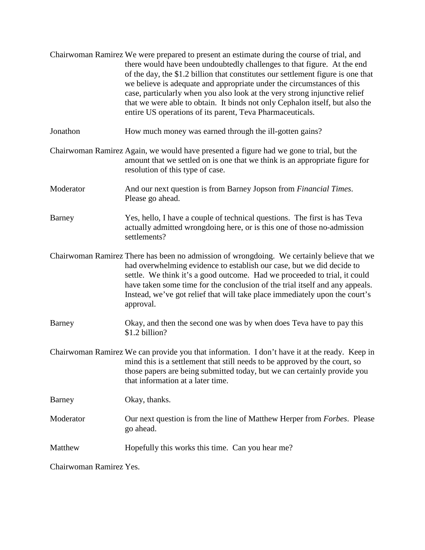|                         | Chairwoman Ramirez We were prepared to present an estimate during the course of trial, and<br>there would have been undoubtedly challenges to that figure. At the end<br>of the day, the \$1.2 billion that constitutes our settlement figure is one that<br>we believe is adequate and appropriate under the circumstances of this<br>case, particularly when you also look at the very strong injunctive relief<br>that we were able to obtain. It binds not only Cephalon itself, but also the<br>entire US operations of its parent, Teva Pharmaceuticals. |
|-------------------------|----------------------------------------------------------------------------------------------------------------------------------------------------------------------------------------------------------------------------------------------------------------------------------------------------------------------------------------------------------------------------------------------------------------------------------------------------------------------------------------------------------------------------------------------------------------|
| Jonathon                | How much money was earned through the ill-gotten gains?                                                                                                                                                                                                                                                                                                                                                                                                                                                                                                        |
|                         | Chairwoman Ramirez Again, we would have presented a figure had we gone to trial, but the<br>amount that we settled on is one that we think is an appropriate figure for<br>resolution of this type of case.                                                                                                                                                                                                                                                                                                                                                    |
| Moderator               | And our next question is from Barney Jopson from Financial Times.<br>Please go ahead.                                                                                                                                                                                                                                                                                                                                                                                                                                                                          |
| Barney                  | Yes, hello, I have a couple of technical questions. The first is has Teva<br>actually admitted wrongdoing here, or is this one of those no-admission<br>settlements?                                                                                                                                                                                                                                                                                                                                                                                           |
|                         | Chairwoman Ramirez There has been no admission of wrongdoing. We certainly believe that we<br>had overwhelming evidence to establish our case, but we did decide to<br>settle. We think it's a good outcome. Had we proceeded to trial, it could<br>have taken some time for the conclusion of the trial itself and any appeals.<br>Instead, we've got relief that will take place immediately upon the court's<br>approval.                                                                                                                                   |
| Barney                  | Okay, and then the second one was by when does Teva have to pay this<br>\$1.2 billion?                                                                                                                                                                                                                                                                                                                                                                                                                                                                         |
|                         | Chairwoman Ramirez We can provide you that information. I don't have it at the ready. Keep in<br>mind this is a settlement that still needs to be approved by the court, so<br>those papers are being submitted today, but we can certainly provide you<br>that information at a later time.                                                                                                                                                                                                                                                                   |
| Barney                  | Okay, thanks.                                                                                                                                                                                                                                                                                                                                                                                                                                                                                                                                                  |
| Moderator               | Our next question is from the line of Matthew Herper from <i>Forbes</i> . Please<br>go ahead.                                                                                                                                                                                                                                                                                                                                                                                                                                                                  |
| Matthew                 | Hopefully this works this time. Can you hear me?                                                                                                                                                                                                                                                                                                                                                                                                                                                                                                               |
| Chairwoman Ramirez Yes. |                                                                                                                                                                                                                                                                                                                                                                                                                                                                                                                                                                |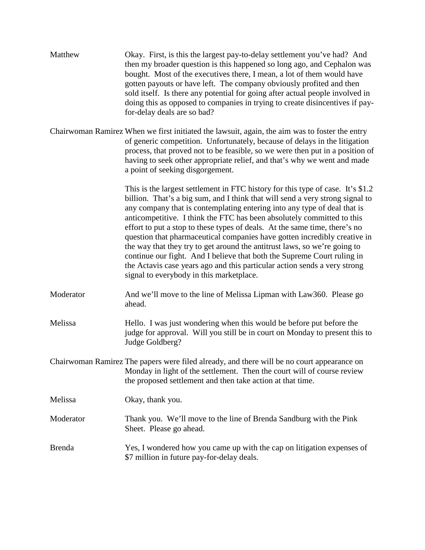| Matthew       | Okay. First, is this the largest pay-to-delay settlement you've had? And<br>then my broader question is this happened so long ago, and Cephalon was<br>bought. Most of the executives there, I mean, a lot of them would have<br>gotten payouts or have left. The company obviously profited and then<br>sold itself. Is there any potential for going after actual people involved in<br>doing this as opposed to companies in trying to create disincentives if pay-<br>for-delay deals are so bad?                                                                                                                                                                                                                                                              |
|---------------|--------------------------------------------------------------------------------------------------------------------------------------------------------------------------------------------------------------------------------------------------------------------------------------------------------------------------------------------------------------------------------------------------------------------------------------------------------------------------------------------------------------------------------------------------------------------------------------------------------------------------------------------------------------------------------------------------------------------------------------------------------------------|
|               | Chairwoman Ramirez When we first initiated the lawsuit, again, the aim was to foster the entry<br>of generic competition. Unfortunately, because of delays in the litigation<br>process, that proved not to be feasible, so we were then put in a position of<br>having to seek other appropriate relief, and that's why we went and made<br>a point of seeking disgorgement.                                                                                                                                                                                                                                                                                                                                                                                      |
|               | This is the largest settlement in FTC history for this type of case. It's \$1.2<br>billion. That's a big sum, and I think that will send a very strong signal to<br>any company that is contemplating entering into any type of deal that is<br>anticompetitive. I think the FTC has been absolutely committed to this<br>effort to put a stop to these types of deals. At the same time, there's no<br>question that pharmaceutical companies have gotten incredibly creative in<br>the way that they try to get around the antitrust laws, so we're going to<br>continue our fight. And I believe that both the Supreme Court ruling in<br>the Actavis case years ago and this particular action sends a very strong<br>signal to everybody in this marketplace. |
| Moderator     | And we'll move to the line of Melissa Lipman with Law360. Please go<br>ahead.                                                                                                                                                                                                                                                                                                                                                                                                                                                                                                                                                                                                                                                                                      |
| Melissa       | Hello. I was just wondering when this would be before put before the<br>judge for approval. Will you still be in court on Monday to present this to<br>Judge Goldberg?                                                                                                                                                                                                                                                                                                                                                                                                                                                                                                                                                                                             |
|               | Chairwoman Ramirez The papers were filed already, and there will be no court appearance on<br>Monday in light of the settlement. Then the court will of course review<br>the proposed settlement and then take action at that time.                                                                                                                                                                                                                                                                                                                                                                                                                                                                                                                                |
| Melissa       | Okay, thank you.                                                                                                                                                                                                                                                                                                                                                                                                                                                                                                                                                                                                                                                                                                                                                   |
| Moderator     | Thank you. We'll move to the line of Brenda Sandburg with the Pink<br>Sheet. Please go ahead.                                                                                                                                                                                                                                                                                                                                                                                                                                                                                                                                                                                                                                                                      |
| <b>Brenda</b> | Yes, I wondered how you came up with the cap on litigation expenses of<br>\$7 million in future pay-for-delay deals.                                                                                                                                                                                                                                                                                                                                                                                                                                                                                                                                                                                                                                               |